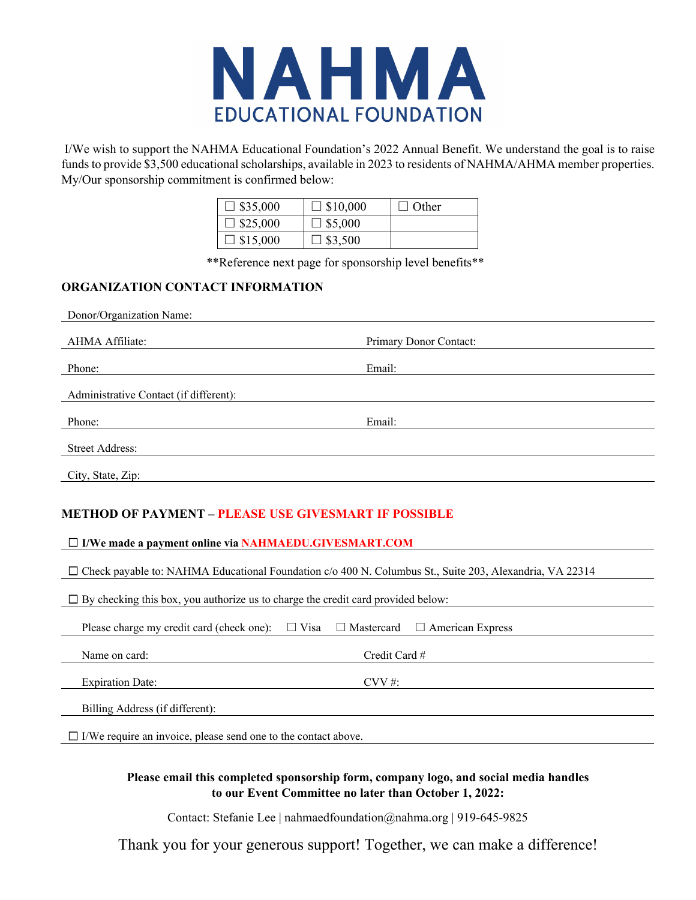

 I/We wish to support the NAHMA Educational Foundation's 2022 Annual Benefit. We understand the goal is to raise funds to provide \$3,500 educational scholarships, available in 2023 to residents of NAHMA/AHMA member properties. My/Our sponsorship commitment is confirmed below:

| $\Box$ \$35,000 | $\Box$ \$10,000 | $\perp$ Other |
|-----------------|-----------------|---------------|
| $\Box$ \$25,000 | $\Box$ \$5,000  |               |
| $\Box$ \$15,000 | $\Box$ \$3,500  |               |

\*\*Reference next page for sponsorship level benefits\*\*

### **ORGANIZATION CONTACT INFORMATION**

| Donor/Organization Name:                                                                                       |                        |  |  |  |  |  |  |
|----------------------------------------------------------------------------------------------------------------|------------------------|--|--|--|--|--|--|
| AHMA Affiliate:                                                                                                | Primary Donor Contact: |  |  |  |  |  |  |
| Phone:                                                                                                         | Email:                 |  |  |  |  |  |  |
| Administrative Contact (if different):                                                                         |                        |  |  |  |  |  |  |
| Phone:                                                                                                         | Email:                 |  |  |  |  |  |  |
| <b>Street Address:</b>                                                                                         |                        |  |  |  |  |  |  |
| City, State, Zip:                                                                                              |                        |  |  |  |  |  |  |
| <b>METHOD OF PAYMENT - PLEASE USE GIVESMART IF POSSIBLE</b>                                                    |                        |  |  |  |  |  |  |
| $\Box$ I/We made a payment online via NAHMAEDU.GIVESMART.COM                                                   |                        |  |  |  |  |  |  |
| $\Box$ Check payable to: NAHMA Educational Foundation c/o 400 N. Columbus St., Suite 203, Alexandria, VA 22314 |                        |  |  |  |  |  |  |

 $\Box$  By checking this box, you authorize us to charge the credit card provided below: Please charge my credit card (check one):  $\Box$  Visa  $\Box$  Mastercard  $\Box$  American Express **Name on card:** Credit Card # **Expiration Date:** CVV #: Billing Address (if different): ☐ I/We require an invoice, please send one to the contact above.

### **Please email this completed sponsorship form, company logo, and social media handles to our Event Committee no later than October 1, 2022:**

Contact: Stefanie Lee | nahmaedfoundation@nahma.org | 919-645-9825

Thank you for your generous support! Together, we can make a difference!